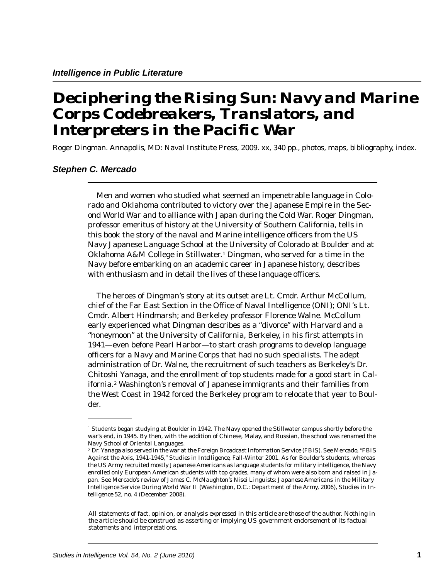## *Deciphering the Rising Sun: Navy and Marine Corps Codebreakers, Translators, and Interpreters in the Pacific War*

Roger Dingman. Annapolis, MD: Naval Institute Press, 2009. xx, 340 pp., photos, maps, bibliography, index.

## *Stephen C. Mercado*

Men and women who studied what seemed an impenetrable language in Colorado and Oklahoma contributed to victory over the Japanese Empire in the Second World War and to alliance with Japan during the Cold War. Roger Dingman, professor emeritus of history at the University of Southern California, tells in this book the story of the naval and Marine intelligence officers from the US Navy Japanese Language School at the University of Colorado at Boulder and at Oklahoma A&M College in Stillwater. $^1$  Dingman, who served for a time in the Navy before embarking on an academic career in Japanese history, describes with enthusiasm and in detail the lives of these language officers.

The heroes of Dingman's story at its outset are Lt. Cmdr. Arthur McCollum, chief of the Far East Section in the Office of Naval Intelligence (ONI); ONI's Lt. Cmdr. Albert Hindmarsh; and Berkeley professor Florence Walne. McCollum early experienced what Dingman describes as a "divorce" with Harvard and a "honeymoon" at the University of California, Berkeley, in his first attempts in 1941—even before Pearl Harbor—to start crash programs to develop language officers for a Navy and Marine Corps that had no such specialists. The adept administration of Dr. Walne, the recruitment of such teachers as Berkeley's Dr. Chitoshi Yanaga, and the enrollment of top students made for a good start in California. $^2$  Washington's removal of Japanese immigrants and their families from the West Coast in 1942 forced the Berkeley program to relocate that year to Boulder.

<sup>1</sup> Students began studying at Boulder in 1942. The Navy opened the Stillwater campus shortly before the war's end, in 1945. By then, with the addition of Chinese, Malay, and Russian, the school was renamed the Navy School of Oriental Languages.

<sup>2</sup> Dr. Yanaga also served in the war at the Foreign Broadcast Information Service (FBIS). See Mercado, "FBIS Against the Axis, 1941-1945," *Studies in Intelligence*, Fall-Winter 2001. As for Boulder's students, whereas the US Army recruited mostly Japanese Americans as language students for military intelligence, the Navy enrolled only European American students with top grades, many of whom were also born and raised in Japan. See Mercado's review of James C. McNaughton's *Nisei Linguists: Japanese Americans in the Military Intelligence Service During World War II* (Washington, D.C.: Department of the Army, 2006), *Studies in Intelligence* 52, no. 4 (December 2008).

 *the article should be construed as asserting or implying US government endorsement of its factual All statements of fact, opinion, or analysis expressed in this article are those of the author. Nothing in statements and interpretations.*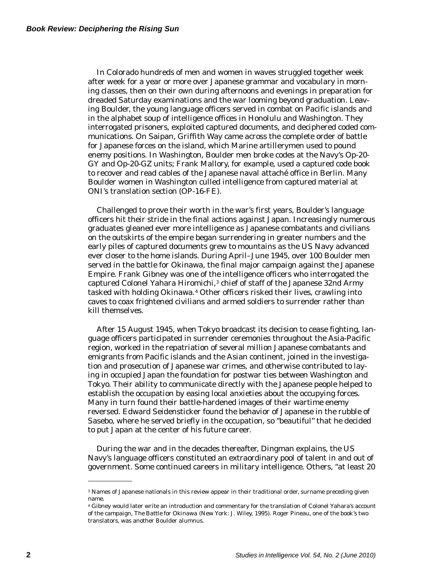In Colorado hundreds of men and women in waves struggled together week after week for a year or more over Japanese grammar and vocabulary in morning classes, then on their own during afternoons and evenings in preparation for dreaded Saturday examinations and the war looming beyond graduation. Leaving Boulder, the young language officers served in combat on Pacific islands and in the alphabet soup of intelligence offices in Honolulu and Washington. They interrogated prisoners, exploited captured documents, and deciphered coded communications. On Saipan, Griffith Way came across the complete order of battle for Japanese forces on the island, which Marine artillerymen used to pound enemy positions. In Washington, Boulder men broke codes at the Navy's Op-20- GY and Op-20-GZ units; Frank Mallory, for example, used a captured code book to recover and read cables of the Japanese naval attaché office in Berlin. Many Boulder women in Washington culled intelligence from captured material at ONI's translation section (OP-16-FE).

Challenged to prove their worth in the war's first years, Boulder's language officers hit their stride in the final actions against Japan. Increasingly numerous graduates gleaned ever more intelligence as Japanese combatants and civilians on the outskirts of the empire began surrendering in greater numbers and the early piles of captured documents grew to mountains as the US Navy advanced ever closer to the home islands. During April–June 1945, over 100 Boulder men served in the battle for Okinawa, the final major campaign against the Japanese Empire. Frank Gibney was one of the intelligence officers who interrogated the captured Colonel Yahara Hiromichi, $^3$  chief of staff of the Japanese 32nd Army tasked with holding Okinawa.4 Other officers risked their lives, crawling into caves to coax frightened civilians and armed soldiers to surrender rather than kill themselves.

After 15 August 1945, when Tokyo broadcast its decision to cease fighting, language officers participated in surrender ceremonies throughout the Asia-Pacific region, worked in the repatriation of several million Japanese combatants and emigrants from Pacific islands and the Asian continent, joined in the investigation and prosecution of Japanese war crimes, and otherwise contributed to laying in occupied Japan the foundation for postwar ties between Washington and Tokyo. Their ability to communicate directly with the Japanese people helped to establish the occupation by easing local anxieties about the occupying forces. Many in turn found their battle-hardened images of their wartime enemy reversed. Edward Seidensticker found the behavior of Japanese in the rubble of Sasebo, where he served briefly in the occupation, so "beautiful" that he decided to put Japan at the center of his future career.

During the war and in the decades thereafter, Dingman explains, the US Navy's language officers constituted an extraordinary pool of talent in and out of government. Some continued careers in military intelligence. Others, "at least 20

<sup>3</sup> Names of Japanese nationals in this review appear in their traditional order, surname preceding given name.

<sup>4</sup> Gibney would later write an introduction and commentary for the translation of Colonel Yahara's account of the campaign, *The Battle for Okinawa* (New York: J. Wiley, 1995). Roger Pineau, one of the book's two translators, was another Boulder alumnus.